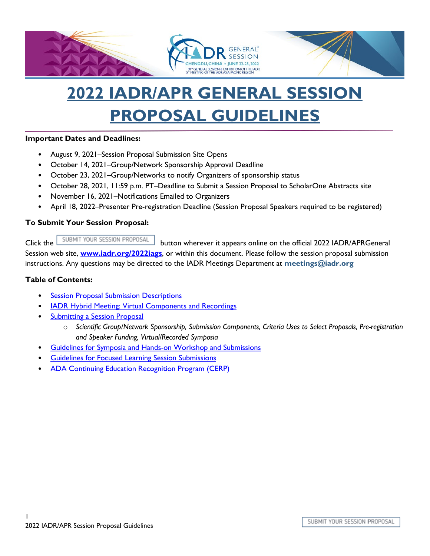

# **2022 IADR/APR GENERAL SESSION PROPOSAL GUIDELINES**

#### **Important Dates and Deadlines:**

- August 9, 2021–Session Proposal Submission Site Opens
- October 14, 2021–Group/Network Sponsorship Approval Deadline
- October 23, 2021–Group/Networks to notify Organizers of sponsorship status
- October 28, 2021, 11:59 p.m. PT–Deadline to Submit a Session Proposal to ScholarOne Abstracts site
- November 16, 2021–Notifications Emailed to Organizers
- April 18, 2022–Presenter Pre-registration Deadline (Session Proposal Speakers required to be registered)

#### **To Submit Your Session Proposal:**

Clickthe SUBMIT YOUR SESSION PROPOSAL button wherever it appears online on the official 2022 IADR/APRGeneral Session web site, **[www.iadr.org/2022iags](http://www.iadr.org/2022iags)**, or within this document. Please follow the session proposal submission instructions. Any questions may be directed to the IADR Meetings Department at **[meetings@iadr.org](mailto:meetings@iadr.org)**

#### **Table of Contents:**

- **Session Proposal Submission Descriptions**
- **IADR Hybrid Meeting: Virtual Components and Recordings**
- Submitting a Session Proposal
	- o *Scientific Group/Network Sponsorship, Submission Components, Criteria Uses to Select Proposals, Pre-registration and Speaker Funding, Virtual/Recorded Symposia*
- Guidelines for Symposia and Hands-on Workshop and Submissions
- **Guidelines for Focused Learning Session Submissions**
- ADA Continuing Education Recognition Program (CERP)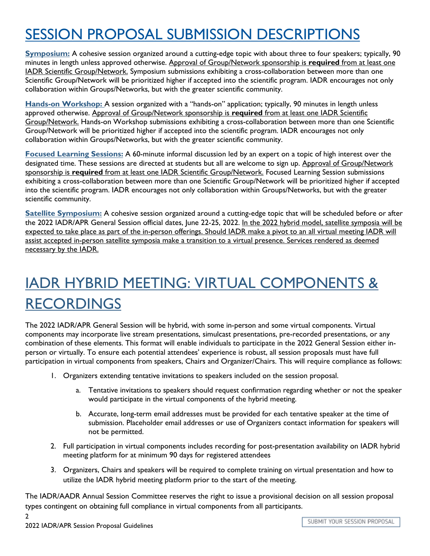## SESSION PROPOSAL SUBMISSION DESCRIPTIONS

**Symposium:** A cohesive session organized around a cutting-edge topic with about three to four speakers; typically, 90 minutes in length unless approved otherwise. Approval of Group/Network sponsorship is **required** from at least one IADR Scientific Group/Network. Symposium submissions exhibiting a cross-collaboration between more than one Scientific Group/Network will be prioritized higher if accepted into the scientific program. IADR encourages not only collaboration within Groups/Networks, but with the greater scientific community.

**Hands-on Workshop:** A session organized with a "hands-on" application; typically, 90 minutes in length unless approved otherwise. Approval of Group/Network sponsorship is **required** from at least one IADR Scientific Group/Network. Hands-on Workshop submissions exhibiting a cross-collaboration between more than one Scientific Group/Network will be prioritized higher if accepted into the scientific program. IADR encourages not only collaboration within Groups/Networks, but with the greater scientific community.

**Focused Learning Sessions:** A 60-minute informal discussion led by an expert on a topic of high interest over the designated time. These sessions are directed at students but all are welcome to sign up. Approval of Group/Network sponsorship is **required** from at least one IADR Scientific Group/Network. Focused Learning Session submissions exhibiting a cross-collaboration between more than one Scientific Group/Network will be prioritized higher if accepted into the scientific program. IADR encourages not only collaboration within Groups/Networks, but with the greater scientific community.

**Satellite Symposium:** A cohesive session organized around a cutting-edge topic that will be scheduled before or after the 2022 IADR/APR General Session official dates, June 22-25, 2022. In the 2022 hybrid model, satellite symposia will be expected to take place as part of the in-person offerings. Should IADR make a pivot to an all virtual meeting IADR will assist accepted in-person satellite symposia make a transition to a virtual presence. Services rendered as deemed necessary by the IADR.

# IADR HYBRID MEETING: VIRTUAL COMPONENTS & RECORDINGS

The 2022 IADR/APR General Session will be hybrid, with some in-person and some virtual components. Virtual components may incorporate live stream presentations, simulcast presentations, pre-recorded presentations, or any combination of these elements. This format will enable individuals to participate in the 2022 General Session either inperson or virtually. To ensure each potential attendees' experience is robust, all session proposals must have full participation in virtual components from speakers, Chairs and Organizer/Chairs. This will require compliance as follows:

- 1. Organizers extending tentative invitations to speakers included on the session proposal.
	- a. Tentative invitations to speakers should request confirmation regarding whether or not the speaker would participate in the virtual components of the hybrid meeting.
	- b. Accurate, long-term email addresses must be provided for each tentative speaker at the time of submission. Placeholder email addresses or use of Organizers contact information for speakers will not be permitted.
- 2. Full participation in virtual components includes recording for post-presentation availability on IADR hybrid meeting platform for at minimum 90 days for registered attendees
- 3. Organizers, Chairs and speakers will be required to complete training on virtual presentation and how to utilize the IADR hybrid meeting platform prior to the start of the meeting.

The IADR/AADR Annual Session Committee reserves the right to issue a provisional decision on all session proposal types contingent on obtaining full compliance in virtual components from all participants.

2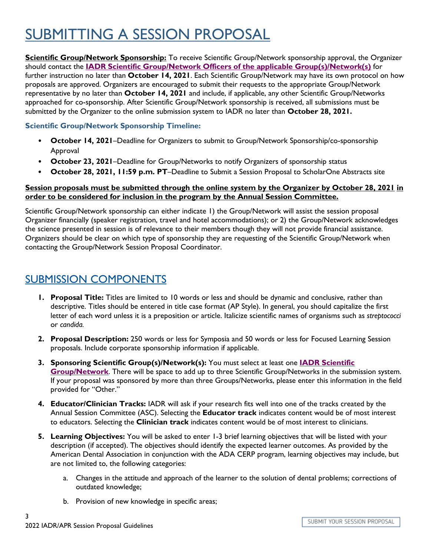## SUBMITTING A SESSION PROPOSAL

**Scientific Group/Network Sponsorship:** To receive Scientific Group/Network sponsorship approval, the Organizer should contact the **IADR Scientific Group/Network [Officers of the applicable Group\(s\)/Network\(s\)](http://www.iadr.org/IADR/Groups-Networks)** for further instruction no later than **October 14, 2021**. Each Scientific Group/Network may have its own protocol on how proposals are approved. Organizers are encouraged to submit their requests to the appropriate Group/Network representative by no later than **October 14, 2021** and include, if applicable, any other Scientific Group/Networks approached for co-sponsorship. After Scientific Group/Network sponsorship is received, all submissions must be submitted by the Organizer to the online submission system to IADR no later than **October 28, 2021.** 

#### **Scientific Group/Network Sponsorship Timeline:**

- **October 14, 2021**–Deadline for Organizers to submit to Group/Network Sponsorship/co-sponsorship Approval
- **October 23, 2021**–Deadline for Group/Networks to notify Organizers of sponsorship status
- **October 28, 2021, 11:59 p.m. PT**–Deadline to Submit a Session Proposal to ScholarOne Abstracts site

#### **Session proposals must be submitted through the online system by the Organizer by October 28, 2021 in order to be considered for inclusion in the program by the Annual Session Committee.**

Scientific Group/Network sponsorship can either indicate 1) the Group/Network will assist the session proposal Organizer financially (speaker registration, travel and hotel accommodations); or 2) the Group/Network acknowledges the science presented in session is of relevance to their members though they will not provide financial assistance. Organizers should be clear on which type of sponsorship they are requesting of the Scientific Group/Network when contacting the Group/Network Session Proposal Coordinator.

#### SUBMISSION COMPONENTS

- **1. Proposal Title:** Titles are limited to 10 words or less and should be dynamic and conclusive, rather than descriptive. Titles should be entered in title case format (AP Style). In general, you should capitalize the first letter of each word unless it is a preposition or article. Italicize scientific names of organisms such as *streptococci* or *candida.*
- **2. Proposal Description:** 250 words or less for Symposia and 50 words or less for Focused Learning Session proposals. Include corporate sponsorship information if applicable.
- **3. Sponsoring Scientific Group(s)/Network(s):** You must select at least one **[IADR Scientific](http://www.iadr.org/IADR/Groups-Networks) [Group/Network](http://www.iadr.org/IADR/Groups-Networks)**. There will be space to add up to three Scientific Group/Networks in the submission system. If your proposal was sponsored by more than three Groups/Networks, please enter this information in the field provided for "Other."
- **4. Educator/Clinician Tracks:** IADR will ask if your research fits well into one of the tracks created by the Annual Session Committee (ASC). Selecting the **Educator track** indicates content would be of most interest to educators. Selecting the **Clinician track** indicates content would be of most interest to clinicians.
- **5. Learning Objectives:** You will be asked to enter 1-3 brief learning objectives that will be listed with your description (if accepted). The objectives should identify the expected learner outcomes. As provided by the American Dental Association in conjunction with the ADA CERP program, learning objectives may include, but are not limited to, the following categories:
	- a. Changes in the attitude and approach of the learner to the solution of dental problems; corrections of outdated knowledge;
	- b. Provision of new knowledge in specific areas;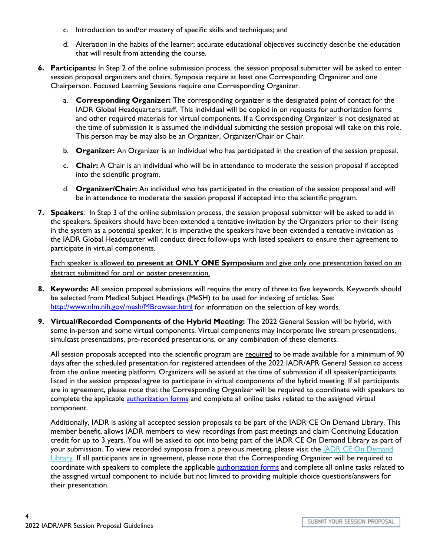- c. Introduction to and/or mastery of specific skills and techniques; and
- d. Alteration in the habits of the learner; accurate educational objectives succinctly describe the education that will result from attending the course.
- **6. Participants:** In Step 2 of the online submission process, the session proposal submitter will be asked to enter session proposal organizers and chairs. Symposia require at least one Corresponding Organizer and one Chairperson. Focused Learning Sessions require one Corresponding Organizer.
	- a. **Corresponding Organizer:** The corresponding organizer is the designated point of contact for the IADR Global Headquarters staff. This individual will be copied in on requests for authorization forms and other required materials for virtual components. If a Corresponding Organizer is not designated at the time of submission it is assumed the individual submitting the session proposal will take on this role. This person may be may also be an Organizer, Organizer/Chair or Chair.
	- b. **Organizer:** An Organizer is an individual who has participated in the creation of the session proposal.
	- c. **Chair:** A Chair is an individual who will be in attendance to moderate the session proposal if accepted into the scientific program.
	- d. **Organizer/Chair:** An individual who has participated in the creation of the session proposal and will be in attendance to moderate the session proposal if accepted into the scientific program.
- **7. Speakers**: In Step 3 of the online submission process, the session proposal submitter will be asked to add in the speakers. Speakers should have been extended a tentative invitation by the Organizers prior to their listing in the system as a potential speaker. It is imperative the speakers have been extended a tentative invitation as the IADR Global Headquarter will conduct direct follow-ups with listed speakers to ensure their agreement to participate in virtual components.

Each speaker is allowed **to present at ONLY ONE Symposium** and give only one presentation based on an abstract submitted for oral or poster presentation.

- **8. Keywords:** All session proposal submissions will require the entry of three to five keywords. Keywords should be selected from Medical Subject Headings (MeSH) to be used for indexing of articles. See: <http://www.nlm.nih.gov/mesh/MBrowser.html> for information on the selection of key words.
- **9. Virtual/Recorded Components of the Hybrid Meeting:** The 2022 General Session will be hybrid, with some in-person and some virtual components. Virtual components may incorporate live stream presentations, simulcast presentations, pre-recorded presentations, or any combination of these elements.

All session proposals accepted into the scientific program are required to be made available for a minimum of 90 days after the scheduled presentation for registered attendees of the 2022 IADR/APR General Session to access from the online meeting platform. Organizers will be asked at the time of submission if all speaker/participants listed in the session proposal agree to participate in virtual components of the hybrid meeting. If all participants are in agreement, please note that the Corresponding Organizer will be required to coordinate with speakers to complete the applicable **authorization forms** and complete all online tasks related to the assigned virtual component.

Additionally, IADR is asking all accepted session proposals to be part of the IADR CE On Demand Library. This member benefit, allows IADR members to view recordings from past meetings and claim Continuing Education credit for up to 3 years. You will be asked to opt into being part of the IADR CE On Demand Library as part of your submission. To view recorded symposia from a previous meeting, please visit the **[IADR CE On Demand](http://www.iadr.org/IADR/Meetings/CEOnDemand)** [Library.](http://www.iadr.org/IADR/Meetings/CEOnDemand) If all participants are in agreement, please note that the Corresponding Organizer will be required to coordinate with speakers to complete the applicable **authorization forms** and complete all online tasks related to the assigned virtual component to include but not limited to providing multiple choice questions/answers for their presentation.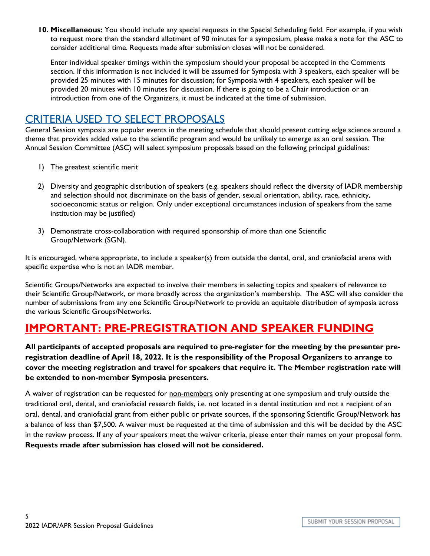**10. Miscellaneous:** You should include any special requests in the Special Scheduling field. For example, if you wish to request more than the standard allotment of 90 minutes for a symposium, please make a note for the ASC to consider additional time. Requests made after submission closes will not be considered.

Enter individual speaker timings within the symposium should your proposal be accepted in the Comments section. If this information is not included it will be assumed for Symposia with 3 speakers, each speaker will be provided 25 minutes with 15 minutes for discussion; for Symposia with 4 speakers, each speaker will be provided 20 minutes with 10 minutes for discussion. If there is going to be a Chair introduction or an introduction from one of the Organizers, it must be indicated at the time of submission.

### CRITERIA USED TO SELECT PROPOSALS

General Session symposia are popular events in the meeting schedule that should present cutting edge science around a theme that provides added value to the scientific program and would be unlikely to emerge as an oral session. The Annual Session Committee (ASC) will select symposium proposals based on the following principal guidelines:

- 1) The greatest scientific merit
- 2) Diversity and geographic distribution of speakers (e.g. speakers should reflect the diversity of IADR membership and selection should not discriminate on the basis of gender, sexual orientation, ability, race, ethnicity, socioeconomic status or religion. Only under exceptional circumstances inclusion of speakers from the same institution may be justified)
- 3) Demonstrate cross-collaboration with required sponsorship of more than one Scientific Group/Network (SGN).

It is encouraged, where appropriate, to include a speaker(s) from outside the dental, oral, and craniofacial arena with specific expertise who is not an IADR member.

Scientific Groups/Networks are expected to involve their members in selecting topics and speakers of relevance to their Scientific Group/Network, or more broadly across the organization's membership. The ASC will also consider the number of submissions from any one Scientific Group/Network to provide an equitable distribution of symposia across the various Scientific Groups/Networks.

## **IMPORTANT: PRE-PREGISTRATION AND SPEAKER FUNDING**

**All participants of accepted proposals are required to pre-register for the meeting by the presenter preregistration deadline of April 18, 2022. It is the responsibility of the Proposal Organizers to arrange to cover the meeting registration and travel for speakers that require it. The Member registration rate will be extended to non-member Symposia presenters.**

A waiver of registration can be requested for non-members only presenting at one symposium and truly outside the traditional oral, dental, and craniofacial research fields, i.e. not located in a dental institution and not a recipient of an oral, dental, and craniofacial grant from either public or private sources, if the sponsoring Scientific Group/Network has a balance of less than \$7,500. A waiver must be requested at the time of submission and this will be decided by the ASC in the review process. If any of your speakers meet the waiver criteria, please enter their names on your proposal form. **Requests made after submission has closed will not be considered.**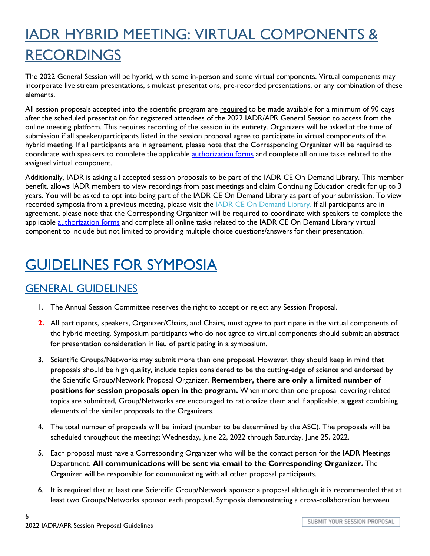# IADR HYBRID MEETING: VIRTUAL COMPONENTS & RECORDINGS

The 2022 General Session will be hybrid, with some in-person and some virtual components. Virtual components may incorporate live stream presentations, simulcast presentations, pre-recorded presentations, or any combination of these elements.

All session proposals accepted into the scientific program are required to be made available for a minimum of 90 days after the scheduled presentation for registered attendees of the 2022 IADR/APR General Session to access from the online meeting platform. This requires recording of the session in its entirety. Organizers will be asked at the time of submission if all speaker/participants listed in the session proposal agree to participate in virtual components of the hybrid meeting. If all participants are in agreement, please note that the Corresponding Organizer will be required to coordinate with speakers to complete the applicable **authorization forms** and complete all online tasks related to the assigned virtual component.

Additionally, IADR is asking all accepted session proposals to be part of the IADR CE On Demand Library. This member benefit, allows IADR members to view recordings from past meetings and claim Continuing Education credit for up to 3 years. You will be asked to opt into being part of the IADR CE On Demand Library as part of your submission. To view recorded symposia from a previous meeting, please visit the **IADR CE On Demand Library**. If all participants are in agreement, please note that the Corresponding Organizer will be required to coordinate with speakers to complete the applicable **authorization forms** and complete all online tasks related to the IADR CE On Demand Library virtual component to include but not limited to providing multiple choice questions/answers for their presentation.

## GUIDELINES FOR SYMPOSIA

## GENERAL GUIDELINES

- 1. The Annual Session Committee reserves the right to accept or reject any Session Proposal.
- **2.** All participants, speakers, Organizer/Chairs, and Chairs, must agree to participate in the virtual components of the hybrid meeting. Symposium participants who do not agree to virtual components should submit an abstract for presentation consideration in lieu of participating in a symposium.
- 3. Scientific Groups/Networks may submit more than one proposal. However, they should keep in mind that proposals should be high quality, include topics considered to be the cutting-edge of science and endorsed by the Scientific Group/Network Proposal Organizer. **Remember, there are only a limited number of positions for session proposals open in the program.** When more than one proposal covering related topics are submitted, Group/Networks are encouraged to rationalize them and if applicable, suggest combining elements of the similar proposals to the Organizers.
- 4. The total number of proposals will be limited (number to be determined by the ASC). The proposals will be scheduled throughout the meeting; Wednesday, June 22, 2022 through Saturday, June 25, 2022.
- 5. Each proposal must have a Corresponding Organizer who will be the contact person for the IADR Meetings Department. **All communications will be sent via email to the Corresponding Organizer.** The Organizer will be responsible for communicating with all other proposal participants.
- 6. It is required that at least one Scientific Group/Network sponsor a proposal although it is recommended that at least two Groups/Networks sponsor each proposal. Symposia demonstrating a cross-collaboration between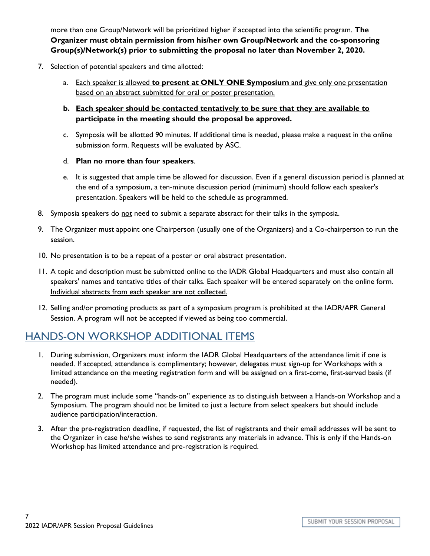more than one Group/Network will be prioritized higher if accepted into the scientific program. **The Organizer must obtain permission from his/her own Group/Network and the co-sponsoring Group(s)/Network(s) prior to submitting the proposal no later than November 2, 2020.**

- 7. Selection of potential speakers and time allotted:
	- a. Each speaker is allowed **to present at ONLY ONE Symposium** and give only one presentation based on an abstract submitted for oral or poster presentation.
	- **b. Each speaker should be contacted tentatively to be sure that they are available to participate in the meeting should the proposal be approved.**
	- c. Symposia will be allotted 90 minutes. If additional time is needed, please make a request in the online submission form. Requests will be evaluated by ASC.
	- d. **Plan no more than four speakers**.
	- e. It is suggested that ample time be allowed for discussion. Even if a general discussion period is planned at the end of a symposium, a ten-minute discussion period (minimum) should follow each speaker's presentation. Speakers will be held to the schedule as programmed.
- 8. Symposia speakers do not need to submit a separate abstract for their talks in the symposia.
- 9. The Organizer must appoint one Chairperson (usually one of the Organizers) and a Co-chairperson to run the session.
- 10. No presentation is to be a repeat of a poster or oral abstract presentation.
- 11. A topic and description must be submitted online to the IADR Global Headquarters and must also contain all speakers' names and tentative titles of their talks. Each speaker will be entered separately on the online form. Individual abstracts from each speaker are not collected.
- 12. Selling and/or promoting products as part of a symposium program is prohibited at the IADR/APR General Session. A program will not be accepted if viewed as being too commercial.

### HANDS-ON WORKSHOP ADDITIONAL ITEMS

- 1. During submission, Organizers must inform the IADR Global Headquarters of the attendance limit if one is needed. If accepted, attendance is complimentary; however, delegates must sign-up for Workshops with a limited attendance on the meeting registration form and will be assigned on a first-come, first-served basis (if needed).
- 2. The program must include some "hands-on" experience as to distinguish between a Hands-on Workshop and a Symposium. The program should not be limited to just a lecture from select speakers but should include audience participation/interaction.
- 3. After the pre-registration deadline, if requested, the list of registrants and their email addresses will be sent to the Organizer in case he/she wishes to send registrants any materials in advance. This is only if the Hands-on Workshop has limited attendance and pre-registration is required.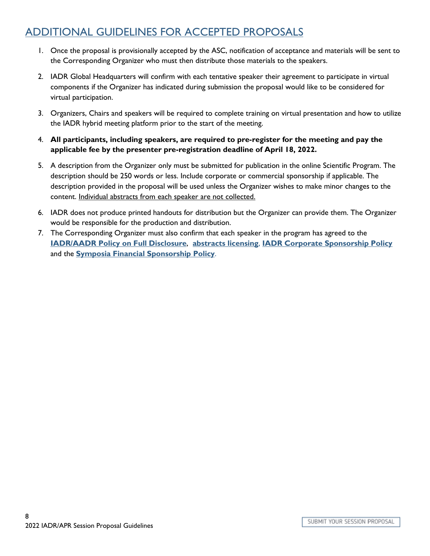### ADDITIONAL GUIDELINES FOR ACCEPTED PROPOSALS

- 1. Once the proposal is provisionally accepted by the ASC, notification of acceptance and materials will be sent to the Corresponding Organizer who must then distribute those materials to the speakers.
- 2. IADR Global Headquarters will confirm with each tentative speaker their agreement to participate in virtual components if the Organizer has indicated during submission the proposal would like to be considered for virtual participation.
- 3. Organizers, Chairs and speakers will be required to complete training on virtual presentation and how to utilize the IADR hybrid meeting platform prior to the start of the meeting.
- 4. **All participants, including speakers, are required to pre-register for the meeting and pay the applicable fee by the presenter pre-registration deadline of April 18, 2022.**
- 5. A description from the Organizer only must be submitted for publication in the online Scientific Program. The description should be 250 words or less. Include corporate or commercial sponsorship if applicable. The description provided in the proposal will be used unless the Organizer wishes to make minor changes to the content. Individual abstracts from each speaker are not collected.
- 6. IADR does not produce printed handouts for distribution but the Organizer can provide them. The Organizer would be responsible for the production and distribution.
- 7. The Corresponding Organizer must also confirm that each speaker in the program has agreed to the **[IADR/AADR Policy on Full Disclosure](http://www.iadr.org/Portals/69/docs/Meetings/IAGS/2017/IADRDisclosurePolicy.pdf)**, **[abstracts licensing](http://www.iadr.org/IADR/About-Us/Policy-Statements/Abstract-Licensing)**, **[IADR Corporate Sponsorship Policy](http://www.iadr.org/IADR/About-Us/Policy-Statements/Corporate-Sponsorship-Policy)** and the **[Symposia Financial Sponsorship Policy](http://www.iadr.org/IADR/About-Us/Policy-Statements/Symposia-Financial-Sponsorship)**.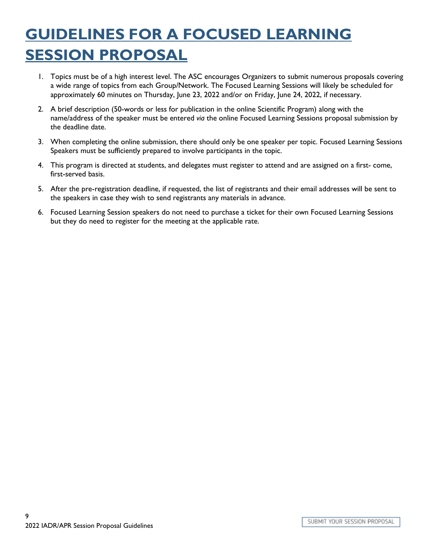# **GUIDELINES FOR A FOCUSED LEARNING SESSION PROPOSAL**

- 1. Topics must be of a high interest level. The ASC encourages Organizers to submit numerous proposals covering a wide range of topics from each Group/Network. The Focused Learning Sessions will likely be scheduled for approximately 60 minutes on Thursday, June 23, 2022 and/or on Friday, June 24, 2022, if necessary.
- 2. A brief description (50-words or less for publication in the online Scientific Program) along with the name/address of the speaker must be entered *via* the online Focused Learning Sessions proposal submission by the deadline date.
- 3. When completing the online submission, there should only be one speaker per topic. Focused Learning Sessions Speakers must be sufficiently prepared to involve participants in the topic.
- 4. This program is directed at students, and delegates must register to attend and are assigned on a first- come, first-served basis.
- 5. After the pre-registration deadline, if requested, the list of registrants and their email addresses will be sent to the speakers in case they wish to send registrants any materials in advance.
- 6. Focused Learning Session speakers do not need to purchase a ticket for their own Focused Learning Sessions but they do need to register for the meeting at the applicable rate.